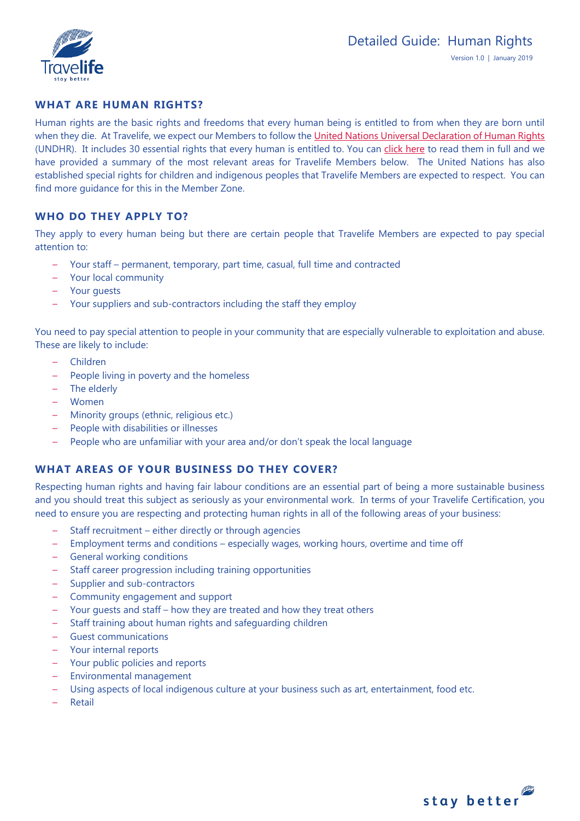

# **WHAT ARE HUMAN RIGHTS?**

Human rights are the basic rights and freedoms that every human being is entitled to from when they are born until when they die. At Travelife, we expect our Members to follow th[e United Nations Universal Declaration of Human Rights](http://www.un.org/en/sections/issues-depth/human-rights/) (UNDHR). It includes 30 essential rights that every human is entitled to. You can [click here](http://www.un.org/en/universal-declaration-human-rights/index.html) to read them in full and we have provided a summary of the most relevant areas for Travelife Members below. The United Nations has also established special rights for children and indigenous peoples that Travelife Members are expected to respect. You can find more guidance for this in the Member Zone.

# **WHO DO THEY APPLY TO?**

They apply to every human being but there are certain people that Travelife Members are expected to pay special attention to:

- Your staff permanent, temporary, part time, casual, full time and contracted
- Your local community
- Your guests
- Your suppliers and sub-contractors including the staff they employ

You need to pay special attention to people in your community that are especially vulnerable to exploitation and abuse. These are likely to include:

- Children
- People living in poverty and the homeless
- The elderly
- Women
- Minority groups (ethnic, religious etc.)
- People with disabilities or illnesses
- People who are unfamiliar with your area and/or don't speak the local language

# **WHAT AREAS OF YOUR BUSINESS DO THEY COVER?**

Respecting human rights and having fair labour conditions are an essential part of being a more sustainable business and you should treat this subject as seriously as your environmental work. In terms of your Travelife Certification, you need to ensure you are respecting and protecting human rights in all of the following areas of your business:

- Staff recruitment either directly or through agencies
- Employment terms and conditions especially wages, working hours, overtime and time off
- General working conditions
- Staff career progression including training opportunities
- Supplier and sub-contractors
- Community engagement and support
- Your guests and staff how they are treated and how they treat others
- Staff training about human rights and safeguarding children
- Guest communications
- Your internal reports
- Your public policies and reports
- Environmental management
- Using aspects of local indigenous culture at your business such as art, entertainment, food etc.
- Retail

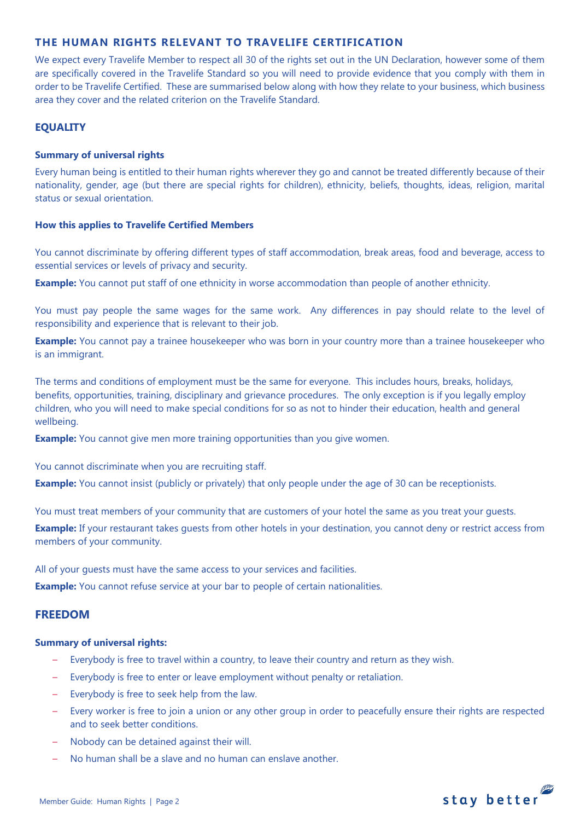## **THE HUMAN RIGHTS RELEVANT TO TRAVELIFE CERTIFICATION**

We expect every Travelife Member to respect all 30 of the rights set out in the UN Declaration, however some of them are specifically covered in the Travelife Standard so you will need to provide evidence that you comply with them in order to be Travelife Certified. These are summarised below along with how they relate to your business, which business area they cover and the related criterion on the Travelife Standard.

## **EQUALITY**

## **Summary of universal rights**

Every human being is entitled to their human rights wherever they go and cannot be treated differently because of their nationality, gender, age (but there are special rights for children), ethnicity, beliefs, thoughts, ideas, religion, marital status or sexual orientation.

## **How this applies to Travelife Certified Members**

You cannot discriminate by offering different types of staff accommodation, break areas, food and beverage, access to essential services or levels of privacy and security.

**Example:** You cannot put staff of one ethnicity in worse accommodation than people of another ethnicity.

You must pay people the same wages for the same work. Any differences in pay should relate to the level of responsibility and experience that is relevant to their job.

**Example:** You cannot pay a trainee housekeeper who was born in your country more than a trainee housekeeper who is an immigrant.

The terms and conditions of employment must be the same for everyone. This includes hours, breaks, holidays, benefits, opportunities, training, disciplinary and grievance procedures. The only exception is if you legally employ children, who you will need to make special conditions for so as not to hinder their education, health and general wellbeing.

**Example:** You cannot give men more training opportunities than you give women.

You cannot discriminate when you are recruiting staff.

**Example:** You cannot insist (publicly or privately) that only people under the age of 30 can be receptionists.

You must treat members of your community that are customers of your hotel the same as you treat your guests.

**Example:** If your restaurant takes quests from other hotels in your destination, you cannot deny or restrict access from members of your community.

All of your guests must have the same access to your services and facilities.

**Example:** You cannot refuse service at your bar to people of certain nationalities.

## **FREEDOM**

### **Summary of universal rights:**

- Everybody is free to travel within a country, to leave their country and return as they wish.
- Everybody is free to enter or leave employment without penalty or retaliation.
- Everybody is free to seek help from the law.
- Every worker is free to join a union or any other group in order to peacefully ensure their rights are respected and to seek better conditions.
- Nobody can be detained against their will.
- No human shall be a slave and no human can enslave another.

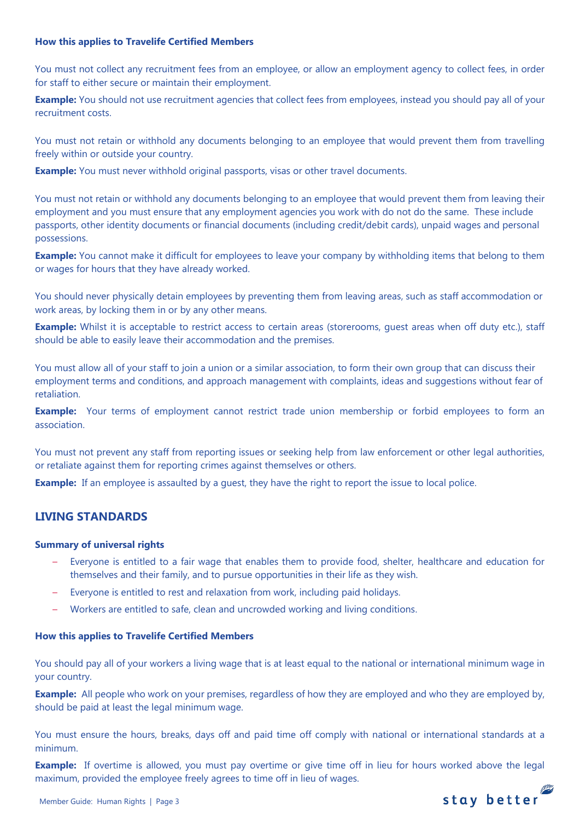## **How this applies to Travelife Certified Members**

You must not collect any recruitment fees from an employee, or allow an employment agency to collect fees, in order for staff to either secure or maintain their employment.

**Example:** You should not use recruitment agencies that collect fees from employees, instead you should pay all of your recruitment costs.

You must not retain or withhold any documents belonging to an employee that would prevent them from travelling freely within or outside your country.

**Example:** You must never withhold original passports, visas or other travel documents.

You must not retain or withhold any documents belonging to an employee that would prevent them from leaving their employment and you must ensure that any employment agencies you work with do not do the same. These include passports, other identity documents or financial documents (including credit/debit cards), unpaid wages and personal possessions.

**Example:** You cannot make it difficult for employees to leave your company by withholding items that belong to them or wages for hours that they have already worked.

You should never physically detain employees by preventing them from leaving areas, such as staff accommodation or work areas, by locking them in or by any other means.

**Example:** Whilst it is acceptable to restrict access to certain areas (storerooms, guest areas when off duty etc.), staff should be able to easily leave their accommodation and the premises.

You must allow all of your staff to join a union or a similar association, to form their own group that can discuss their employment terms and conditions, and approach management with complaints, ideas and suggestions without fear of retaliation.

**Example:** Your terms of employment cannot restrict trade union membership or forbid employees to form an association.

You must not prevent any staff from reporting issues or seeking help from law enforcement or other legal authorities, or retaliate against them for reporting crimes against themselves or others.

**Example:** If an employee is assaulted by a quest, they have the right to report the issue to local police.

# **LIVING STANDARDS**

### **Summary of universal rights**

- Everyone is entitled to a fair wage that enables them to provide food, shelter, healthcare and education for themselves and their family, and to pursue opportunities in their life as they wish.
- Everyone is entitled to rest and relaxation from work, including paid holidays.
- Workers are entitled to safe, clean and uncrowded working and living conditions.

### **How this applies to Travelife Certified Members**

You should pay all of your workers a living wage that is at least equal to the national or international minimum wage in your country.

**Example:** All people who work on your premises, regardless of how they are employed and who they are employed by, should be paid at least the legal minimum wage.

You must ensure the hours, breaks, days off and paid time off comply with national or international standards at a minimum.

**Example:** If overtime is allowed, you must pay overtime or give time off in lieu for hours worked above the legal maximum, provided the employee freely agrees to time off in lieu of wages.stay better

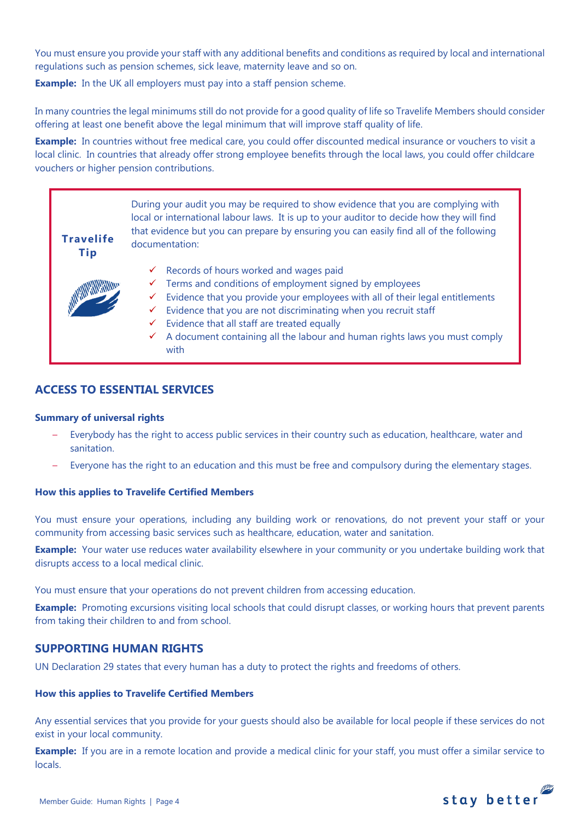You must ensure you provide your staff with any additional benefits and conditions as required by local and international regulations such as pension schemes, sick leave, maternity leave and so on.

**Example:** In the UK all employers must pay into a staff pension scheme.

In many countries the legal minimums still do not provide for a good quality of life so Travelife Members should consider offering at least one benefit above the legal minimum that will improve staff quality of life.

**Example:** In countries without free medical care, you could offer discounted medical insurance or vouchers to visit a local clinic. In countries that already offer strong employee benefits through the local laws, you could offer childcare vouchers or higher pension contributions.



# **ACCESS TO ESSENTIAL SERVICES**

## **Summary of universal rights**

- Everybody has the right to access public services in their country such as education, healthcare, water and sanitation.
- Everyone has the right to an education and this must be free and compulsory during the elementary stages.

## **How this applies to Travelife Certified Members**

You must ensure your operations, including any building work or renovations, do not prevent your staff or your community from accessing basic services such as healthcare, education, water and sanitation.

**Example:** Your water use reduces water availability elsewhere in your community or you undertake building work that disrupts access to a local medical clinic.

You must ensure that your operations do not prevent children from accessing education.

**Example:** Promoting excursions visiting local schools that could disrupt classes, or working hours that prevent parents from taking their children to and from school.

## **SUPPORTING HUMAN RIGHTS**

UN Declaration 29 states that every human has a duty to protect the rights and freedoms of others.

### **How this applies to Travelife Certified Members**

Any essential services that you provide for your guests should also be available for local people if these services do not exist in your local community.

**Example:** If you are in a remote location and provide a medical clinic for your staff, you must offer a similar service to locals.

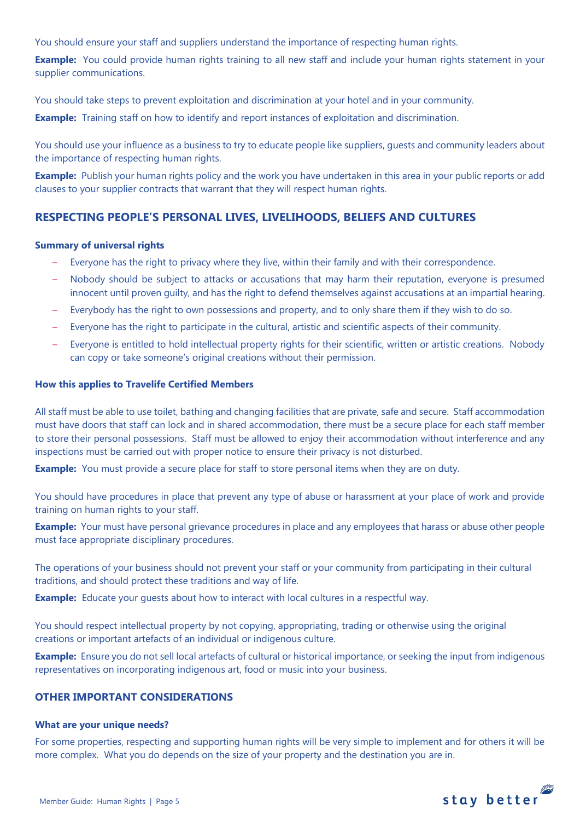You should ensure your staff and suppliers understand the importance of respecting human rights.

**Example:** You could provide human rights training to all new staff and include your human rights statement in your supplier communications.

You should take steps to prevent exploitation and discrimination at your hotel and in your community.

**Example:** Training staff on how to identify and report instances of exploitation and discrimination.

You should use your influence as a business to try to educate people like suppliers, guests and community leaders about the importance of respecting human rights.

**Example:** Publish your human rights policy and the work you have undertaken in this area in your public reports or add clauses to your supplier contracts that warrant that they will respect human rights.

# **RESPECTING PEOPLE'S PERSONAL LIVES, LIVELIHOODS, BELIEFS AND CULTURES**

## **Summary of universal rights**

- Everyone has the right to privacy where they live, within their family and with their correspondence.
- Nobody should be subject to attacks or accusations that may harm their reputation, everyone is presumed innocent until proven guilty, and has the right to defend themselves against accusations at an impartial hearing.
- Everybody has the right to own possessions and property, and to only share them if they wish to do so.
- Everyone has the right to participate in the cultural, artistic and scientific aspects of their community.
- Everyone is entitled to hold intellectual property rights for their scientific, written or artistic creations. Nobody can copy or take someone's original creations without their permission.

### **How this applies to Travelife Certified Members**

All staff must be able to use toilet, bathing and changing facilities that are private, safe and secure. Staff accommodation must have doors that staff can lock and in shared accommodation, there must be a secure place for each staff member to store their personal possessions. Staff must be allowed to enjoy their accommodation without interference and any inspections must be carried out with proper notice to ensure their privacy is not disturbed.

**Example:** You must provide a secure place for staff to store personal items when they are on duty.

You should have procedures in place that prevent any type of abuse or harassment at your place of work and provide training on human rights to your staff.

**Example:** Your must have personal grievance procedures in place and any employees that harass or abuse other people must face appropriate disciplinary procedures.

The operations of your business should not prevent your staff or your community from participating in their cultural traditions, and should protect these traditions and way of life.

**Example:** Educate your guests about how to interact with local cultures in a respectful way.

You should respect intellectual property by not copying, appropriating, trading or otherwise using the original creations or important artefacts of an individual or indigenous culture.

**Example:** Ensure you do not sell local artefacts of cultural or historical importance, or seeking the input from indigenous representatives on incorporating indigenous art, food or music into your business.

## **OTHER IMPORTANT CONSIDERATIONS**

### **What are your unique needs?**

For some properties, respecting and supporting human rights will be very simple to implement and for others it will be more complex. What you do depends on the size of your property and the destination you are in.